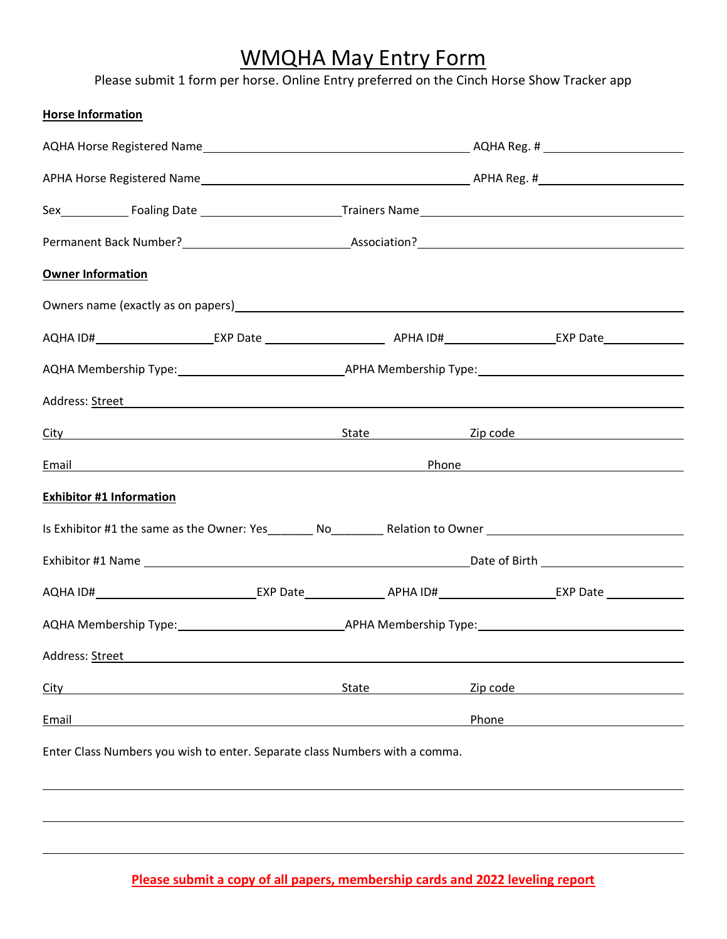## WMQHA May Entry Form

Please submit 1 form per horse. Online Entry preferred on the Cinch Horse Show Tracker app

| <b>Horse Information</b>                                                                                                                                                                                                            |       |  |          |  |  |
|-------------------------------------------------------------------------------------------------------------------------------------------------------------------------------------------------------------------------------------|-------|--|----------|--|--|
|                                                                                                                                                                                                                                     |       |  |          |  |  |
|                                                                                                                                                                                                                                     |       |  |          |  |  |
|                                                                                                                                                                                                                                     |       |  |          |  |  |
|                                                                                                                                                                                                                                     |       |  |          |  |  |
| <b>Owner Information</b>                                                                                                                                                                                                            |       |  |          |  |  |
|                                                                                                                                                                                                                                     |       |  |          |  |  |
|                                                                                                                                                                                                                                     |       |  |          |  |  |
|                                                                                                                                                                                                                                     |       |  |          |  |  |
| Address: <u>Street</u> Address: All Annual Address: All Annual Address: All Annual Address: All Annual Address: Annual Address: Annual Address: Annual Address: Annual Address: Annual Address: Annual Address: Annual Address: Ann |       |  |          |  |  |
| <u>City and State State State Sip code</u> and State State Sip Code and Sip Code and State Sip Code and State State St                                                                                                              |       |  |          |  |  |
| <u>Email Phone</u> Phone 2014 The Contract of the Contract of the Contract of the Contract of the Contract of the Contract of the Contract of the Contract of the Contract of the Contract of the Contract of the Contract of the C |       |  |          |  |  |
| <b>Exhibitor #1 Information</b>                                                                                                                                                                                                     |       |  |          |  |  |
| Is Exhibitor #1 the same as the Owner: Yes__________ No___________ Relation to Owner _________________________                                                                                                                      |       |  |          |  |  |
|                                                                                                                                                                                                                                     |       |  |          |  |  |
|                                                                                                                                                                                                                                     |       |  |          |  |  |
|                                                                                                                                                                                                                                     |       |  |          |  |  |
| Address: Street                                                                                                                                                                                                                     |       |  |          |  |  |
| City                                                                                                                                                                                                                                | State |  | Zip code |  |  |
| Email                                                                                                                                                                                                                               |       |  | Phone    |  |  |
| Enter Class Numbers you wish to enter. Separate class Numbers with a comma.                                                                                                                                                         |       |  |          |  |  |
|                                                                                                                                                                                                                                     |       |  |          |  |  |
|                                                                                                                                                                                                                                     |       |  |          |  |  |
|                                                                                                                                                                                                                                     |       |  |          |  |  |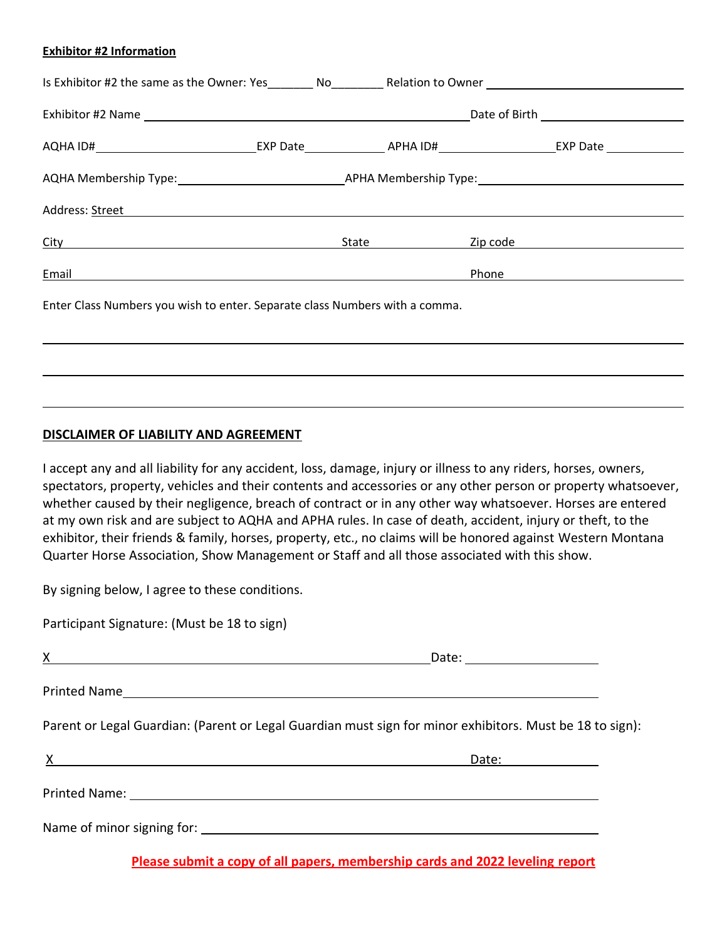#### **Exhibitor #2 Information**

| Address: Street Address: Andrea Address: Andrea Address: Andrea Address: Andrea Address: Address: A |  |            |                                                                                                                                                                                                                                      |  |  |
|-----------------------------------------------------------------------------------------------------|--|------------|--------------------------------------------------------------------------------------------------------------------------------------------------------------------------------------------------------------------------------------|--|--|
| City                                                                                                |  | State 1994 | Zip code <u>and the set of the set of the set of the set of the set of the set of the set of the set of the set of the set of the set of the set of the set of the set of the set of the set of the set of the set of the set of</u> |  |  |
| Email<br><u> 1989 - Johann Stein, fransk politik (d. 1989)</u>                                      |  |            | Phone                                                                                                                                                                                                                                |  |  |
| Enter Class Numbers you wish to enter. Separate class Numbers with a comma.                         |  |            |                                                                                                                                                                                                                                      |  |  |
|                                                                                                     |  |            |                                                                                                                                                                                                                                      |  |  |
|                                                                                                     |  |            |                                                                                                                                                                                                                                      |  |  |

#### **DISCLAIMER OF LIABILITY AND AGREEMENT**

I accept any and all liability for any accident, loss, damage, injury or illness to any riders, horses, owners, spectators, property, vehicles and their contents and accessories or any other person or property whatsoever, whether caused by their negligence, breach of contract or in any other way whatsoever. Horses are entered at my own risk and are subject to AQHA and APHA rules. In case of death, accident, injury or theft, to the exhibitor, their friends & family, horses, property, etc., no claims will be honored against Western Montana Quarter Horse Association, Show Management or Staff and all those associated with this show.

By signing below, I agree to these conditions.

Participant Signature: (Must be 18 to sign)

|            | Date: _______________________                                                                                                                                                                                                         |
|------------|---------------------------------------------------------------------------------------------------------------------------------------------------------------------------------------------------------------------------------------|
|            |                                                                                                                                                                                                                                       |
|            | Parent or Legal Guardian: (Parent or Legal Guardian must sign for minor exhibitors. Must be 18 to sign):                                                                                                                              |
| $X \sim 1$ | Da <u>te: Land Carlos Carlos Carlos Carlos Carlos Carlos Carlos Carlos Carlos Carlos Carlos Carlos Carlos Carlos Carlos Carlos Carlos Carlos Carlos Carlos Carlos Carlos Carlos Carlos Carlos Carlos Carlos Carlos Carlos Carlos </u> |
|            |                                                                                                                                                                                                                                       |
|            |                                                                                                                                                                                                                                       |

**Please submit a copy of all papers, membership cards and 2022 leveling report**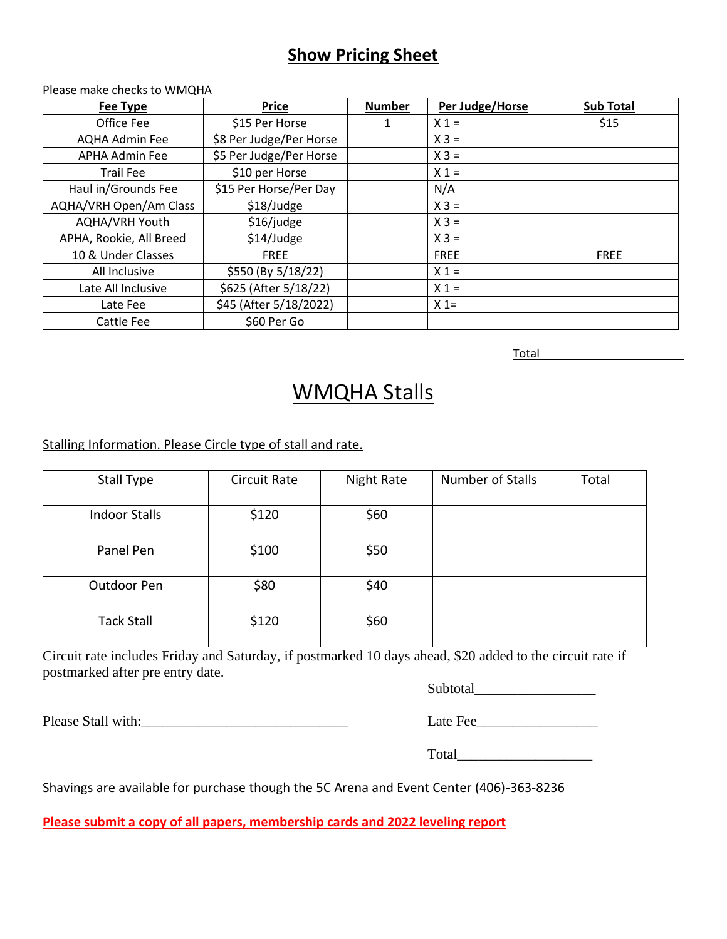### **Show Pricing Sheet**

#### Please make checks to WMQHA

| <b>Fee Type</b>         | <b>Price</b>            | <b>Number</b> | Per Judge/Horse | <b>Sub Total</b> |
|-------------------------|-------------------------|---------------|-----------------|------------------|
| Office Fee              | \$15 Per Horse          | 1             | $X_1 =$         | \$15             |
| <b>AQHA Admin Fee</b>   | \$8 Per Judge/Per Horse |               | $X 3 =$         |                  |
| APHA Admin Fee          | \$5 Per Judge/Per Horse |               | $X 3 =$         |                  |
| <b>Trail Fee</b>        | \$10 per Horse          |               | $X_1 =$         |                  |
| Haul in/Grounds Fee     | \$15 Per Horse/Per Day  |               | N/A             |                  |
| AQHA/VRH Open/Am Class  | \$18/Judge              |               | $X 3 =$         |                  |
| AQHA/VRH Youth          | \$16/judge              |               | $X 3 =$         |                  |
| APHA, Rookie, All Breed | \$14/Judge              |               | $X 3 =$         |                  |
| 10 & Under Classes      | <b>FREE</b>             |               | <b>FREE</b>     | <b>FREE</b>      |
| All Inclusive           | \$550 (By 5/18/22)      |               | $X_1 =$         |                  |
| Late All Inclusive      | \$625 (After 5/18/22)   |               | $X 1 =$         |                  |
| Late Fee                | \$45 (After 5/18/2022)  |               | $X =$           |                  |
| Cattle Fee              | \$60 Per Go             |               |                 |                  |

Total

### WMQHA Stalls

Stalling Information. Please Circle type of stall and rate.

| <b>Stall Type</b>    | <b>Circuit Rate</b> | <b>Night Rate</b> | Number of Stalls | Total |
|----------------------|---------------------|-------------------|------------------|-------|
| <b>Indoor Stalls</b> | \$120               | \$60              |                  |       |
| Panel Pen            | \$100               | \$50              |                  |       |
| Outdoor Pen          | \$80                | \$40              |                  |       |
| <b>Tack Stall</b>    | \$120               | \$60              |                  |       |

Circuit rate includes Friday and Saturday, if postmarked 10 days ahead, \$20 added to the circuit rate if postmarked after pre entry date.

Subtotal\_\_\_\_\_\_\_\_\_\_\_\_\_\_\_\_\_

Please Stall with:\_\_\_\_\_\_\_\_\_\_\_\_\_\_\_\_\_\_\_\_\_\_\_\_\_\_\_\_\_ Late Fee\_\_\_\_\_\_\_\_\_\_\_\_\_\_\_\_\_

| Lait Pet |  |  |  |
|----------|--|--|--|
|          |  |  |  |
|          |  |  |  |

Total\_\_\_\_\_\_\_\_\_\_\_\_\_\_\_\_\_\_\_

Shavings are available for purchase though the 5C Arena and Event Center (406)-363-8236

**Please submit a copy of all papers, membership cards and 2022 leveling report**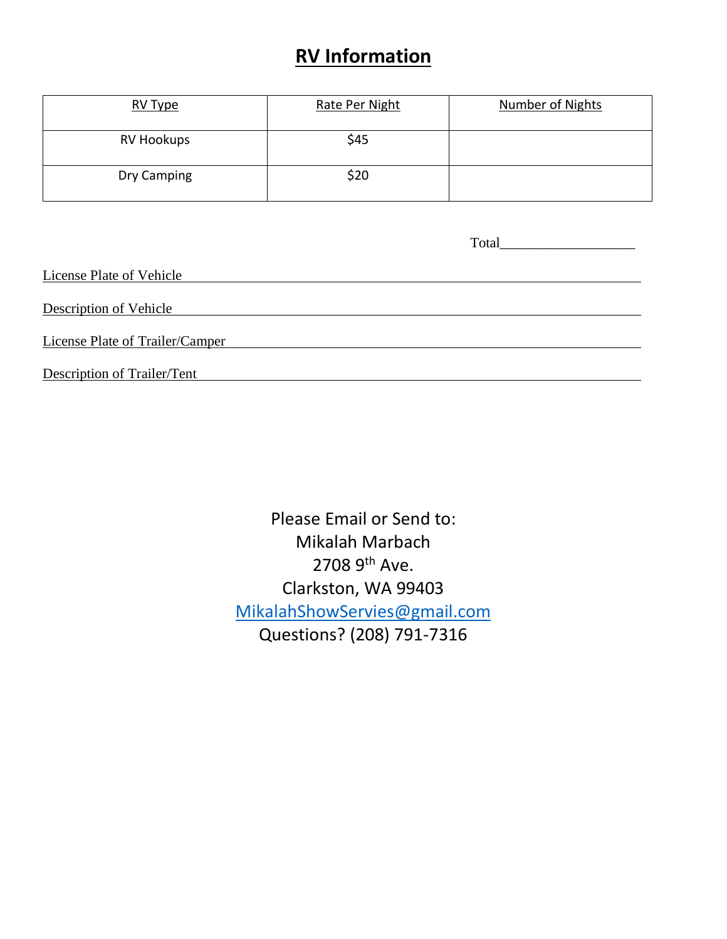### **RV Information**

| RV Type           | Rate Per Night | Number of Nights |
|-------------------|----------------|------------------|
| <b>RV Hookups</b> | \$45           |                  |
| Dry Camping       | \$20           |                  |

|                                 | Total and the contract of the contract of the contract of the contract of the contract of the contract of the contract of the contract of the contract of the contract of the contract of the contract of the contract of the |
|---------------------------------|-------------------------------------------------------------------------------------------------------------------------------------------------------------------------------------------------------------------------------|
| License Plate of Vehicle        |                                                                                                                                                                                                                               |
| Description of Vehicle          |                                                                                                                                                                                                                               |
| License Plate of Trailer/Camper |                                                                                                                                                                                                                               |
| Description of Trailer/Tent     |                                                                                                                                                                                                                               |

Please Email or Send to: Mikalah Marbach 2708 9th Ave. Clarkston, WA 99403 [MikalahShowServies@gmail.com](mailto:MikalahShowServies@gmail.com) Questions? (208) 791-7316